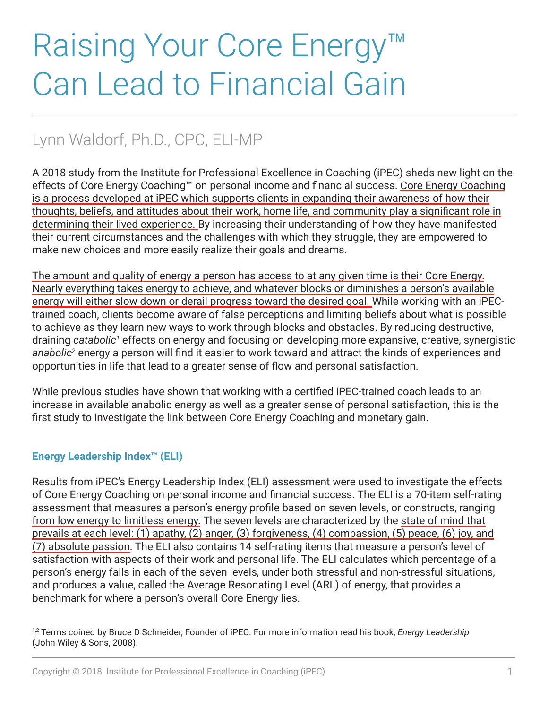# Raising Your Core Energy™ Can Lead to Financial Gain

# Lynn Waldorf, Ph.D., CPC, ELI-MP

A 2018 study from the Institute for Professional Excellence in Coaching (iPEC) sheds new light on the effects of Core Energy Coaching™ on personal income and financial success. Core Energy Coaching is a process developed at iPEC which supports clients in expanding their awareness of how their thoughts, beliefs, and attitudes about their work, home life, and community play a significant role in determining their lived experience. By increasing their understanding of how they have manifested their current circumstances and the challenges with which they struggle, they are empowered to make new choices and more easily realize their goals and dreams.

The amount and quality of energy a person has access to at any given time is their Core Energy. Nearly everything takes energy to achieve, and whatever blocks or diminishes a person's available energy will either slow down or derail progress toward the desired goal. While working with an iPECtrained coach, clients become aware of false perceptions and limiting beliefs about what is possible to achieve as they learn new ways to work through blocks and obstacles. By reducing destructive, draining catabolic<sup>1</sup> effects on energy and focusing on developing more expansive, creative, synergistic *anabolic2* energy a person will find it easier to work toward and attract the kinds of experiences and opportunities in life that lead to a greater sense of flow and personal satisfaction.

While previous studies have shown that working with a certified iPEC-trained coach leads to an increase in available anabolic energy as well as a greater sense of personal satisfaction, this is the first study to investigate the link between Core Energy Coaching and monetary gain.

## **Energy Leadership Index™ (ELI)**

Results from iPEC's Energy Leadership Index (ELI) assessment were used to investigate the effects of Core Energy Coaching on personal income and financial success. The ELI is a 70-item self-rating assessment that measures a person's energy profile based on seven levels, or constructs, ranging from low energy to limitless energy. The seven levels are characterized by the state of mind that prevails at each level: (1) apathy, (2) anger, (3) forgiveness, (4) compassion, (5) peace, (6) joy, and (7) absolute passion. The ELI also contains 14 self-rating items that measure a person's level of satisfaction with aspects of their work and personal life. The ELI calculates which percentage of a person's energy falls in each of the seven levels, under both stressful and non-stressful situations, and produces a value, called the Average Resonating Level (ARL) of energy, that provides a benchmark for where a person's overall Core Energy lies.

1,2 Terms coined by Bruce D Schneider, Founder of iPEC. For more information read his book, *Energy Leadership* (John Wiley & Sons, 2008).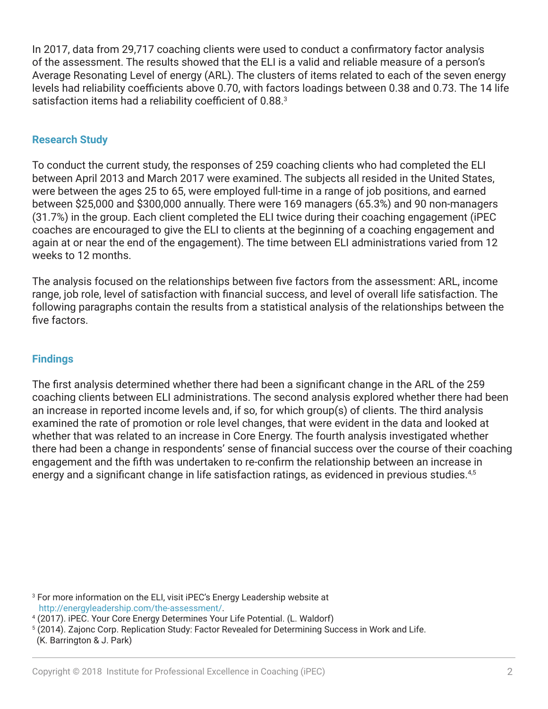In 2017, data from 29,717 coaching clients were used to conduct a confirmatory factor analysis of the assessment. The results showed that the ELI is a valid and reliable measure of a person's Average Resonating Level of energy (ARL). The clusters of items related to each of the seven energy levels had reliability coefficients above 0.70, with factors loadings between 0.38 and 0.73. The 14 life satisfaction items had a reliability coefficient of 0.88.<sup>3</sup>

### **Research Study**

To conduct the current study, the responses of 259 coaching clients who had completed the ELI between April 2013 and March 2017 were examined. The subjects all resided in the United States, were between the ages 25 to 65, were employed full-time in a range of job positions, and earned between \$25,000 and \$300,000 annually. There were 169 managers (65.3%) and 90 non-managers (31.7%) in the group. Each client completed the ELI twice during their coaching engagement (iPEC coaches are encouraged to give the ELI to clients at the beginning of a coaching engagement and again at or near the end of the engagement). The time between ELI administrations varied from 12 weeks to 12 months.

The analysis focused on the relationships between five factors from the assessment: ARL, income range, job role, level of satisfaction with financial success, and level of overall life satisfaction. The following paragraphs contain the results from a statistical analysis of the relationships between the five factors.

### **Findings**

The first analysis determined whether there had been a significant change in the ARL of the 259 coaching clients between ELI administrations. The second analysis explored whether there had been an increase in reported income levels and, if so, for which group(s) of clients. The third analysis examined the rate of promotion or role level changes, that were evident in the data and looked at whether that was related to an increase in Core Energy. The fourth analysis investigated whether there had been a change in respondents' sense of financial success over the course of their coaching engagement and the fifth was undertaken to re-confirm the relationship between an increase in energy and a significant change in life satisfaction ratings, as evidenced in previous studies.<sup>4,5</sup>

3 For more information on the ELI, visit iPEC's Energy Leadership website at http://energyleadership.com/the-assessment/.

<sup>5</sup> (2014). Zajonc Corp. Replication Study: Factor Revealed for Determining Success in Work and Life.

<sup>4</sup> (2017). iPEC. Your Core Energy Determines Your Life Potential. (L. Waldorf)

 <sup>(</sup>K. Barrington & J. Park)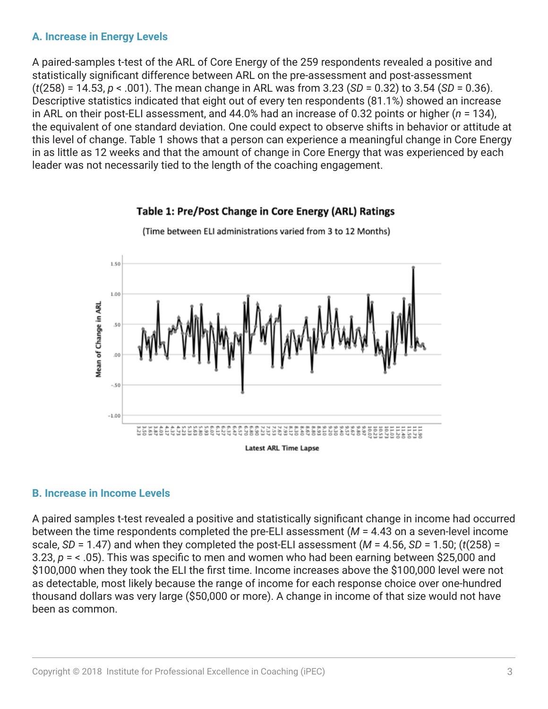### **A. Increase in Energy Levels**

A paired-samples t-test of the ARL of Core Energy of the 259 respondents revealed a positive and statistically significant difference between ARL on the pre-assessment and post-assessment (*t*(258) = 14.53, *p* < .001). The mean change in ARL was from 3.23 (*SD* = 0.32) to 3.54 (*SD* = 0.36). Descriptive statistics indicated that eight out of every ten respondents (81.1%) showed an increase in ARL on their post-ELI assessment, and 44.0% had an increase of 0.32 points or higher (*n* = 134), the equivalent of one standard deviation. One could expect to observe shifts in behavior or attitude at this level of change. Table 1 shows that a person can experience a meaningful change in Core Energy in as little as 12 weeks and that the amount of change in Core Energy that was experienced by each leader was not necessarily tied to the length of the coaching engagement.

# 1.50 1.00 Mean of Change in ARL 50  $00$  $-.50$  $-1.00$ ........................... **Latest ARL Time Lapse**

Table 1: Pre/Post Change in Core Energy (ARL) Ratings

(Time between ELI administrations varied from 3 to 12 Months)

#### **B. Increase in Income Levels**

A paired samples t-test revealed a positive and statistically significant change in income had occurred between the time respondents completed the pre-ELI assessment (*M* = 4.43 on a seven-level income scale, *SD* = 1.47) and when they completed the post-ELI assessment (*M* = 4.56, *SD* = 1.50; (*t*(258) = 3.23, *p* = < .05). This was specific to men and women who had been earning between \$25,000 and \$100,000 when they took the ELI the first time. Income increases above the \$100,000 level were not as detectable, most likely because the range of income for each response choice over one-hundred thousand dollars was very large (\$50,000 or more). A change in income of that size would not have been as common.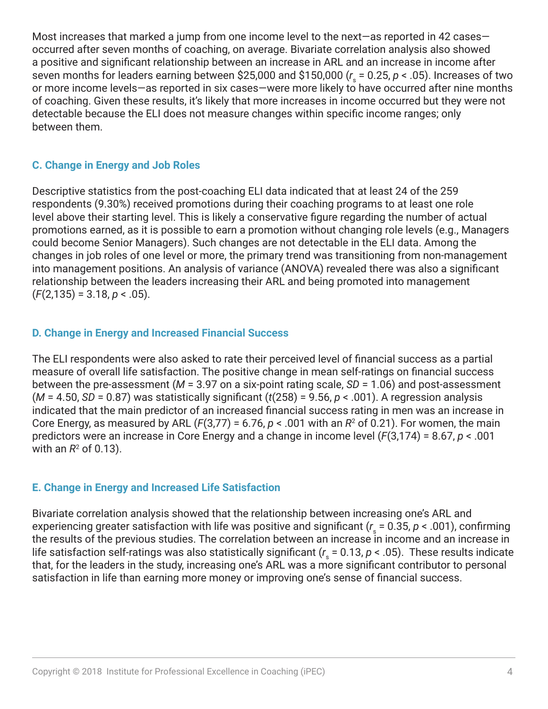Most increases that marked a jump from one income level to the next—as reported in 42 cases occurred after seven months of coaching, on average. Bivariate correlation analysis also showed a positive and significant relationship between an increase in ARL and an increase in income after seven months for leaders earning between \$25,000 and \$150,000 (*r* s = 0.25, *p* < .05). Increases of two or more income levels—as reported in six cases—were more likely to have occurred after nine months of coaching. Given these results, it's likely that more increases in income occurred but they were not detectable because the ELI does not measure changes within specific income ranges; only between them.

### **C. Change in Energy and Job Roles**

Descriptive statistics from the post-coaching ELI data indicated that at least 24 of the 259 respondents (9.30%) received promotions during their coaching programs to at least one role level above their starting level. This is likely a conservative figure regarding the number of actual promotions earned, as it is possible to earn a promotion without changing role levels (e.g., Managers could become Senior Managers). Such changes are not detectable in the ELI data. Among the changes in job roles of one level or more, the primary trend was transitioning from non-management into management positions. An analysis of variance (ANOVA) revealed there was also a significant relationship between the leaders increasing their ARL and being promoted into management (*F*(2,135) = 3.18, *p* < .05).

### **D. Change in Energy and Increased Financial Success**

The ELI respondents were also asked to rate their perceived level of financial success as a partial measure of overall life satisfaction. The positive change in mean self-ratings on financial success between the pre-assessment (*M* = 3.97 on a six-point rating scale, *SD* = 1.06) and post-assessment (*M* = 4.50, *SD* = 0.87) was statistically significant (*t*(258) = 9.56, *p* < .001). A regression analysis indicated that the main predictor of an increased financial success rating in men was an increase in Core Energy, as measured by ARL  $(F(3,77) = 6.76, p < .001$  with an  $R<sup>2</sup>$  of 0.21). For women, the main predictors were an increase in Core Energy and a change in income level (*F*(3,174) = 8.67, *p* < .001 with an  $R^2$  of 0.13).

#### **E. Change in Energy and Increased Life Satisfaction**

Bivariate correlation analysis showed that the relationship between increasing one's ARL and experiencing greater satisfaction with life was positive and significant (*r* s = 0.35, *p* < .001), confirming the results of the previous studies. The correlation between an increase in income and an increase in life satisfaction self-ratings was also statistically significant ( $r_{\rm s}$  = 0.13, *p <* .05). These results indicate that, for the leaders in the study, increasing one's ARL was a more significant contributor to personal satisfaction in life than earning more money or improving one's sense of financial success.